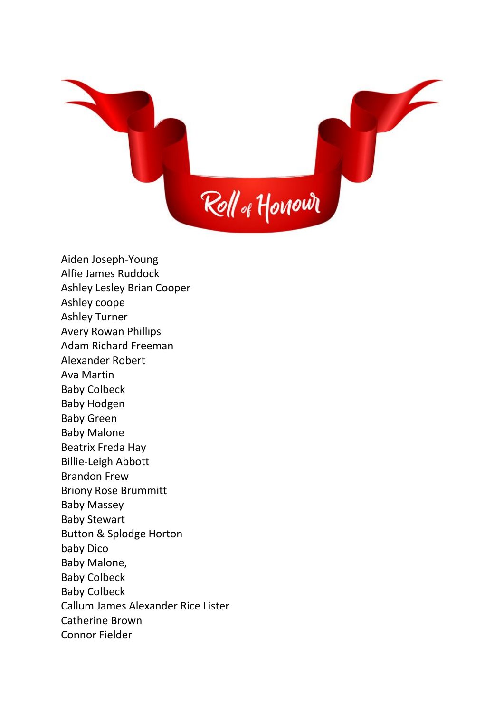

Aiden Joseph-Young Alfie James Ruddock Ashley Lesley Brian Cooper Ashley coope Ashley Turner Avery Rowan Phillips Adam Richard Freeman Alexander Robert Ava Martin Baby Colbeck Baby Hodgen Baby Green Baby Malone Beatrix Freda Hay Billie-Leigh Abbott Brandon Frew Briony Rose Brummitt Baby Massey Baby Stewart Button & Splodge Horton baby Dico Baby Malone, Baby Colbeck Baby Colbeck Callum James Alexander Rice Lister Catherine Brown Connor Fielder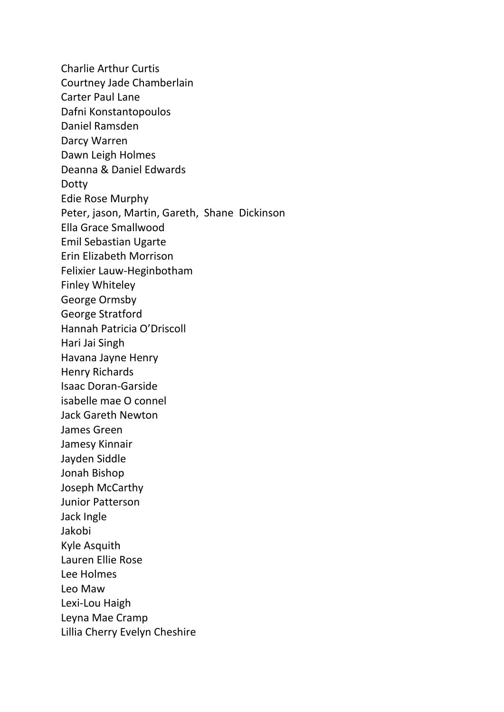Charlie Arthur Curtis Courtney Jade Chamberlain Carter Paul Lane Dafni Konstantopoulos Daniel Ramsden Darcy Warren Dawn Leigh Holmes Deanna & Daniel Edwards Dotty Edie Rose Murphy Peter, jason, Martin, Gareth, Shane Dickinson Ella Grace Smallwood Emil Sebastian Ugarte Erin Elizabeth Morrison Felixier Lauw-Heginbotham Finley Whiteley George Ormsby George Stratford Hannah Patricia O'Driscoll Hari Jai Singh Havana Jayne Henry Henry Richards Isaac Doran-Garside isabelle mae O connel Jack Gareth Newton James Green Jamesy Kinnair Jayden Siddle Jonah Bishop Joseph McCarthy Junior Patterson Jack Ingle Jakobi Kyle Asquith Lauren Ellie Rose Lee Holmes Leo Maw Lexi-Lou Haigh Leyna Mae Cramp Lillia Cherry Evelyn Cheshire